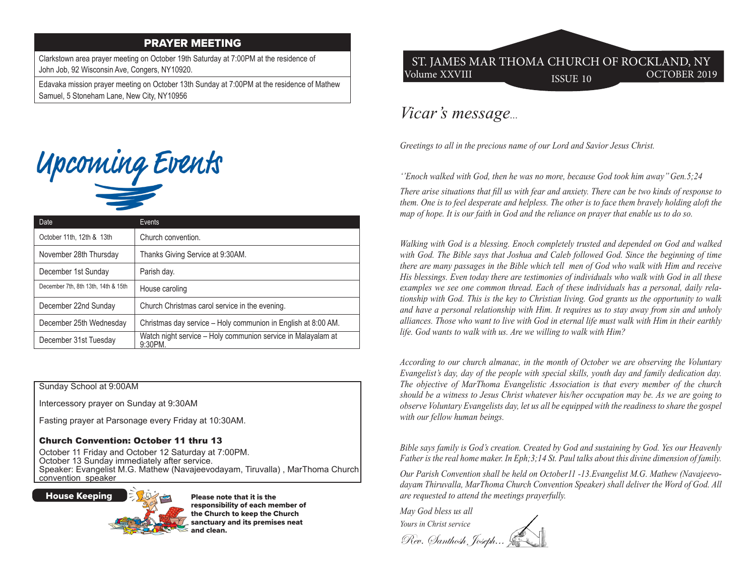## PRAYER MEETING

Clarkstown area prayer meeting on October 19th Saturday at 7:00PM at the residence of John Job, 92 Wisconsin Ave, Congers, NY10920.

Edavaka mission prayer meeting on October 13th Sunday at 7:00PM at the residence of Mathew Samuel, 5 Stoneham Lane, New City, NY10956



| Date                                | Events                                                                     |
|-------------------------------------|----------------------------------------------------------------------------|
| October 11th, 12th & 13th           | Church convention.                                                         |
| November 28th Thursday              | Thanks Giving Service at 9:30AM.                                           |
| December 1st Sunday                 | Parish day.                                                                |
| December 7th, 8th 13th, 14th & 15th | House caroling                                                             |
| December 22nd Sunday                | Church Christmas carol service in the evening.                             |
| December 25th Wednesday             | Christmas day service - Holy communion in English at 8:00 AM.              |
| December 31st Tuesday               | Watch night service - Holy communion service in Malayalam at<br>$9:30$ PM. |

Sunday School at 9:00AM

Intercessory prayer on Sunday at 9:30AM

Fasting prayer at Parsonage every Friday at 10:30AM.

#### Church Convention: October 11 thru 13

October 11 Friday and October 12 Saturday at 7:00PM. October 13 Sunday immediately after service. Speaker: Evangelist M.G. Mathew (Navajeevodayam, Tiruvalla) , MarThoma Church convention speaker

House Keeping



Please note that it is the responsibility of each member of the Church to keep the Church sanctuary and its premises neat and clean.

# Volume XXVIII ISSUE 10 OCTOBER 2019 ST. JAMES MAR THOMA CHURCH OF ROCKLAND, NY

# *Vicar's message...*

*Greetings to all in the precious name of our Lord and Savior Jesus Christ.*

*''Enoch walked with God, then he was no more, because God took him away'' Gen.5;24*

*There arise situations that fill us with fear and anxiety. There can be two kinds of response to them. One is to feel desperate and helpless. The other is to face them bravely holding aloft the map of hope. It is our faith in God and the reliance on prayer that enable us to do so.*

*Walking with God is a blessing. Enoch completely trusted and depended on God and walked with God. The Bible says that Joshua and Caleb followed God. Since the beginning of time there are many passages in the Bible which tell men of God who walk with Him and receive His blessings. Even today there are testimonies of individuals who walk with God in all these examples we see one common thread. Each of these individuals has a personal, daily relationship with God. This is the key to Christian living. God grants us the opportunity to walk and have a personal relationship with Him. It requires us to stay away from sin and unholy alliances. Those who want to live with God in eternal life must walk with Him in their earthly life. God wants to walk with us. Are we willing to walk with Him?*

*According to our church almanac, in the month of October we are observing the Voluntary Evangelist's day, day of the people with special skills, youth day and family dedication day. The objective of MarThoma Evangelistic Association is that every member of the church should be a witness to Jesus Christ whatever his/her occupation may be. As we are going to observe Voluntary Evangelists day, let us all be equipped with the readiness to share the gospel with our fellow human beings.*

*Bible says family is God's creation. Created by God and sustaining by God. Yes our Heavenly Father is the real home maker. In Eph;3;14 St. Paul talks about this divine dimension of family.*

*Our Parish Convention shall be held on October11 -13.Evangelist M.G. Mathew (Navajeevodayam Thiruvalla, MarThoma Church Convention Speaker) shall deliver the Word of God. All are requested to attend the meetings prayerfully.* 

*May God bless us all Yours in Christ service* Rev. Santhosh, Joseph...